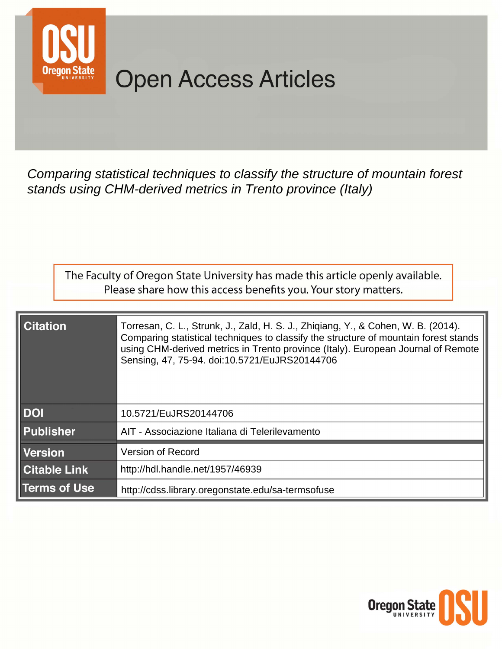

# **Open Access Articles**

Comparing statistical techniques to classify the structure of mountain forest stands using CHM-derived metrics in Trento province (Italy)

The Faculty of Oregon State University has made this article openly available. Please share how this access benefits you. Your story matters.

| <b>Citation</b>     | Torresan, C. L., Strunk, J., Zald, H. S. J., Zhiqiang, Y., & Cohen, W. B. (2014).<br>Comparing statistical techniques to classify the structure of mountain forest stands<br>using CHM-derived metrics in Trento province (Italy). European Journal of Remote<br>Sensing, 47, 75-94. doi:10.5721/EuJRS20144706 |
|---------------------|----------------------------------------------------------------------------------------------------------------------------------------------------------------------------------------------------------------------------------------------------------------------------------------------------------------|
| <b>DOI</b>          | 10.5721/EuJRS20144706                                                                                                                                                                                                                                                                                          |
| <b>Publisher</b>    | AIT - Associazione Italiana di Telerilevamento                                                                                                                                                                                                                                                                 |
| <b>Version</b>      | <b>Version of Record</b>                                                                                                                                                                                                                                                                                       |
| <b>Citable Link</b> | http://hdl.handle.net/1957/46939                                                                                                                                                                                                                                                                               |
| <b>Terms of Use</b> | http://cdss.library.oregonstate.edu/sa-termsofuse                                                                                                                                                                                                                                                              |

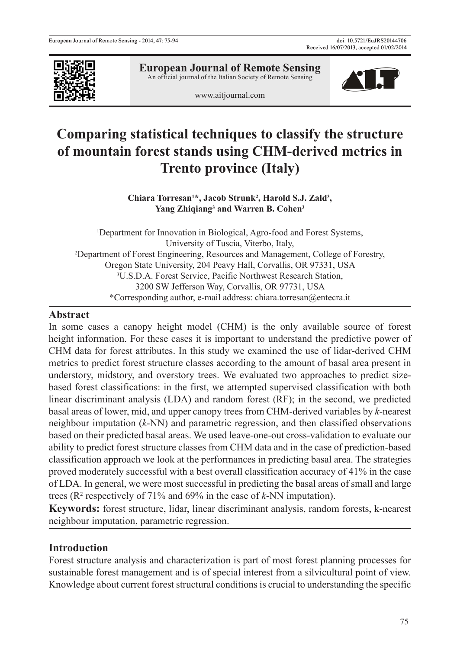

**European Journal of Remote Sensing** An official journal of the Italian Society of Remote Sensing





# **Comparing statistical techniques to classify the structure of mountain forest stands using CHM-derived metrics in Trento province (Italy)**

**Chiara Torresan1 \*, Jacob Strunk2 , Harold S.J. Zald3 , Yang Zhiqiang3 and Warren B. Cohen3**

1 Department for Innovation in Biological, Agro-food and Forest Systems, University of Tuscia, Viterbo, Italy, 2 Department of Forest Engineering, Resources and Management, College of Forestry, Oregon State University, 204 Peavy Hall, Corvallis, OR 97331, USA 3 U.S.D.A. Forest Service, Pacific Northwest Research Station, 3200 SW Jefferson Way, Corvallis, OR 97731, USA \*Corresponding author, e-mail address: chiara.torresan@entecra.it

#### **Abstract**

In some cases a canopy height model (CHM) is the only available source of forest height information. For these cases it is important to understand the predictive power of CHM data for forest attributes. In this study we examined the use of lidar-derived CHM metrics to predict forest structure classes according to the amount of basal area present in understory, midstory, and overstory trees. We evaluated two approaches to predict sizebased forest classifications: in the first, we attempted supervised classification with both linear discriminant analysis (LDA) and random forest (RF); in the second, we predicted basal areas of lower, mid, and upper canopy trees from CHM-derived variables by *k*-nearest neighbour imputation (*k*-NN) and parametric regression, and then classified observations based on their predicted basal areas. We used leave-one-out cross-validation to evaluate our ability to predict forest structure classes from CHM data and in the case of prediction-based classification approach we look at the performances in predicting basal area. The strategies proved moderately successful with a best overall classification accuracy of 41% in the case of LDA. In general, we were most successful in predicting the basal areas of small and large trees (R2 respectively of 71% and 69% in the case of *k*-NN imputation).

**Keywords:** forest structure, lidar, linear discriminant analysis, random forests, k-nearest neighbour imputation, parametric regression.

#### **Introduction**

Forest structure analysis and characterization is part of most forest planning processes for sustainable forest management and is of special interest from a silvicultural point of view. Knowledge about current forest structural conditions is crucial to understanding the specific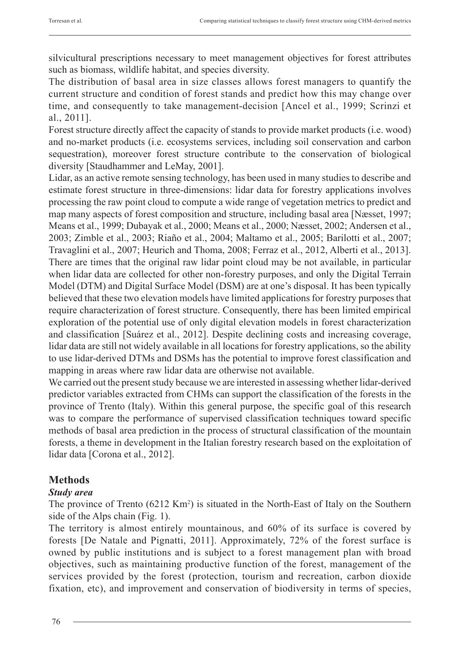silvicultural prescriptions necessary to meet management objectives for forest attributes such as biomass, wildlife habitat, and species diversity.

The distribution of basal area in size classes allows forest managers to quantify the current structure and condition of forest stands and predict how this may change over time, and consequently to take management-decision [Ancel et al., 1999; Scrinzi et al., 2011].

Forest structure directly affect the capacity of stands to provide market products (i.e. wood) and no-market products (i.e. ecosystems services, including soil conservation and carbon sequestration), moreover forest structure contribute to the conservation of biological diversity [Staudhammer and LeMay, 2001].

Lidar, as an active remote sensing technology, has been used in many studies to describe and estimate forest structure in three-dimensions: lidar data for forestry applications involves processing the raw point cloud to compute a wide range of vegetation metrics to predict and map many aspects of forest composition and structure, including basal area [Næsset, 1997; Means et al., 1999; Dubayak et al., 2000; Means et al., 2000; Næsset, 2002; Andersen et al., 2003; Zimble et al., 2003; Riaño et al., 2004; Maltamo et al., 2005; Barilotti et al., 2007; Travaglini et al., 2007; Heurich and Thoma, 2008; Ferraz et al., 2012, Alberti et al., 2013]. There are times that the original raw lidar point cloud may be not available, in particular when lidar data are collected for other non-forestry purposes, and only the Digital Terrain Model (DTM) and Digital Surface Model (DSM) are at one's disposal. It has been typically believed that these two elevation models have limited applications for forestry purposes that require characterization of forest structure. Consequently, there has been limited empirical exploration of the potential use of only digital elevation models in forest characterization and classification [Suárez et al., 2012]. Despite declining costs and increasing coverage, lidar data are still not widely available in all locations for forestry applications, so the ability to use lidar-derived DTMs and DSMs has the potential to improve forest classification and mapping in areas where raw lidar data are otherwise not available.

We carried out the present study because we are interested in assessing whether lidar-derived predictor variables extracted from CHMs can support the classification of the forests in the province of Trento (Italy). Within this general purpose, the specific goal of this research was to compare the performance of supervised classification techniques toward specific methods of basal area prediction in the process of structural classification of the mountain forests, a theme in development in the Italian forestry research based on the exploitation of lidar data [Corona et al., 2012].

## **Methods**

#### *Study area*

The province of Trento  $(6212 \text{ km}^2)$  is situated in the North-East of Italy on the Southern side of the Alps chain (Fig. 1).

The territory is almost entirely mountainous, and 60% of its surface is covered by forests [De Natale and Pignatti, 2011]. Approximately, 72% of the forest surface is owned by public institutions and is subject to a forest management plan with broad objectives, such as maintaining productive function of the forest, management of the services provided by the forest (protection, tourism and recreation, carbon dioxide fixation, etc), and improvement and conservation of biodiversity in terms of species,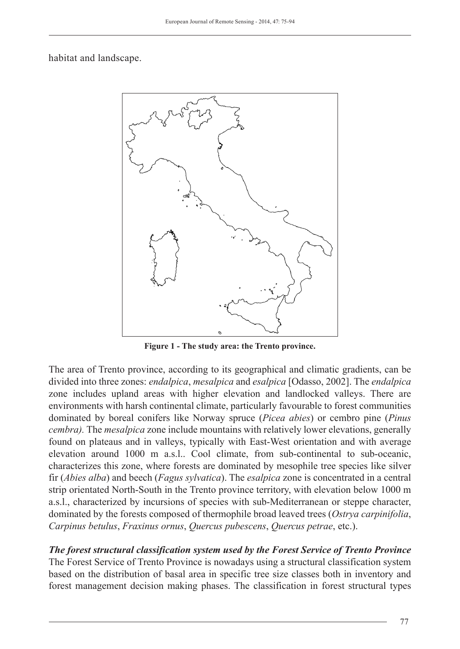habitat and landscape.



**Figure 1 - The study area: the Trento province.**

The area of Trento province, according to its geographical and climatic gradients, can be divided into three zones: *endalpica*, *mesalpica* and *esalpica* [Odasso, 2002]. The *endalpica* zone includes upland areas with higher elevation and landlocked valleys. There are environments with harsh continental climate, particularly favourable to forest communities dominated by boreal conifers like Norway spruce (*Picea abies*) or cembro pine (*Pinus cembra).* The *mesalpica* zone include mountains with relatively lower elevations, generally found on plateaus and in valleys, typically with East-West orientation and with average elevation around 1000 m a.s.l.. Cool climate, from sub-continental to sub-oceanic, characterizes this zone, where forests are dominated by mesophile tree species like silver fir (*Abies alba*) and beech (*Fagus sylvatica*). The *esalpica* zone is concentrated in a central strip orientated North-South in the Trento province territory, with elevation below 1000 m a.s.l., characterized by incursions of species with sub-Mediterranean or steppe character, dominated by the forests composed of thermophile broad leaved trees (*Ostrya carpinifolia*, *Carpinus betulus*, *Fraxinus ornus*, *Quercus pubescens*, *Quercus petrae*, etc.).

## *The forest structural classification system used by the Forest Service of Trento Province*

The Forest Service of Trento Province is nowadays using a structural classification system based on the distribution of basal area in specific tree size classes both in inventory and forest management decision making phases. The classification in forest structural types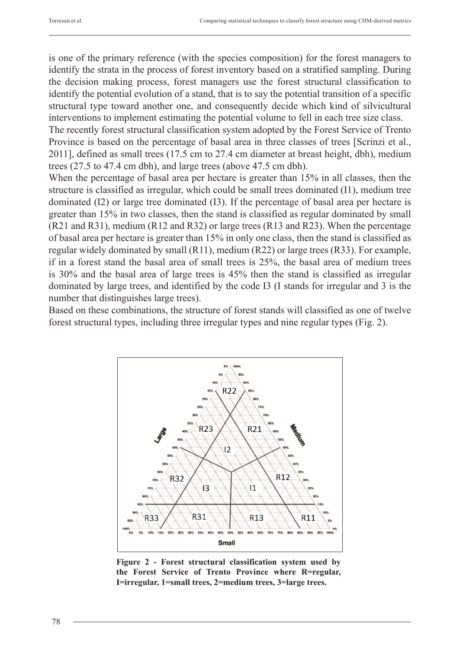is one of the primary reference (with the species composition) for the forest managers to identify the strata in the process of forest inventory based on a stratified sampling. During the decision making process, forest managers use the forest structural classification to identify the potential evolution of a stand, that is to say the potential transition of a specific structural type toward another one, and consequently decide which kind of silvicultural interventions to implement estimating the potential volume to fell in each tree size class.

The recently forest structural classification system adopted by the Forest Service of Trento Province is based on the percentage of basal area in three classes of trees [Scrinzi et al., 2011], defined as small trees (17.5 cm to 27.4 cm diameter at breast height, dbh), medium trees (27.5 to 47.4 cm dbh), and large trees (above 47.5 cm dbh).

When the percentage of basal area per hectare is greater than 15% in all classes, then the structure is classified as irregular, which could be small trees dominated (I1), medium tree dominated (I2) or large tree dominated (I3). If the percentage of basal area per hectare is greater than 15% in two classes, then the stand is classified as regular dominated by small (R21 and R31), medium (R12 and R32) or large trees (R13 and R23). When the percentage of basal area per hectare is greater than 15% in only one class, then the stand is classified as regular widely dominated by small (R11), medium (R22) or large trees (R33). For example, if in a forest stand the basal area of small trees is 25%, the basal area of medium trees is 30% and the basal area of large trees is 45% then the stand is classified as irregular dominated by large trees, and identified by the code I3 (I stands for irregular and 3 is the number that distinguishes large trees).

Based on these combinations, the structure of forest stands will classified as one of twelve forest structural types, including three irregular types and nine regular types (Fig. 2).



**Figure 2 - Forest structural classification system used by the Forest Service of Trento Province where R=regular, I=irregular, 1=small trees, 2=medium trees, 3=large trees.**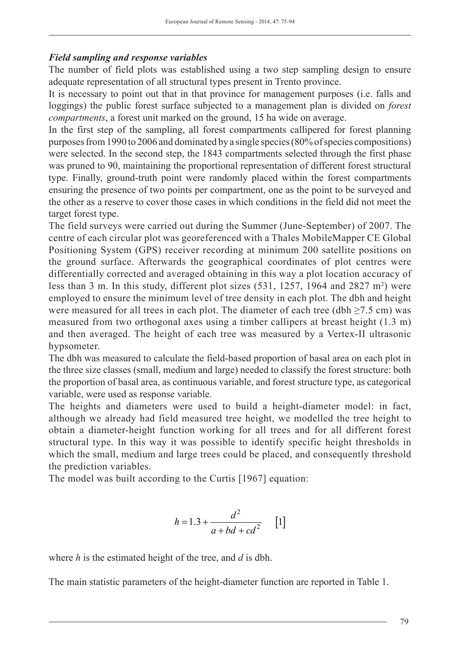#### *Field sampling and response variables*

The number of field plots was established using a two step sampling design to ensure adequate representation of all structural types present in Trento province.

It is necessary to point out that in that province for management purposes (i.e. falls and loggings) the public forest surface subjected to a management plan is divided on *forest compartments*, a forest unit marked on the ground, 15 ha wide on average.

In the first step of the sampling, all forest compartments callipered for forest planning purposes from 1990 to 2006 and dominated by a single species (80% of species compositions) were selected. In the second step, the 1843 compartments selected through the first phase was pruned to 90, maintaining the proportional representation of different forest structural type. Finally, ground-truth point were randomly placed within the forest compartments ensuring the presence of two points per compartment, one as the point to be surveyed and the other as a reserve to cover those cases in which conditions in the field did not meet the target forest type.

The field surveys were carried out during the Summer (June-September) of 2007. The centre of each circular plot was georeferenced with a Thales MobileMapper CE Global Positioning System (GPS) receiver recording at minimum 200 satellite positions on the ground surface. Afterwards the geographical coordinates of plot centres were differentially corrected and averaged obtaining in this way a plot location accuracy of less than 3 m. In this study, different plot sizes  $(531, 1257, 1964, and 2827, m<sup>2</sup>)$  were employed to ensure the minimum level of tree density in each plot. The dbh and height were measured for all trees in each plot. The diameter of each tree (dbh  $\geq 7.5$  cm) was measured from two orthogonal axes using a timber callipers at breast height (1.3 m) and then averaged. The height of each tree was measured by a Vertex-II ultrasonic hypsometer.

The dbh was measured to calculate the field-based proportion of basal area on each plot in the three size classes (small, medium and large) needed to classify the forest structure: both the proportion of basal area, as continuous variable, and forest structure type, as categorical variable, were used as response variable.

The heights and diameters were used to build a height-diameter model: in fact, although we already had field measured tree height, we modelled the tree height to obtain a diameter-height function working for all trees and for all different forest structural type. In this way it was possible to identify specific height thresholds in which the small, medium and large trees could be placed, and consequently threshold the prediction variables.

The model was built according to the Curtis [1967] equation:

$$
h = 1.3 + \frac{d^2}{a + bd + cd^2} \quad [1]
$$

where *h* is the estimated height of the tree, and *d* is dbh.

The main statistic parameters of the height-diameter function are reported in Table 1.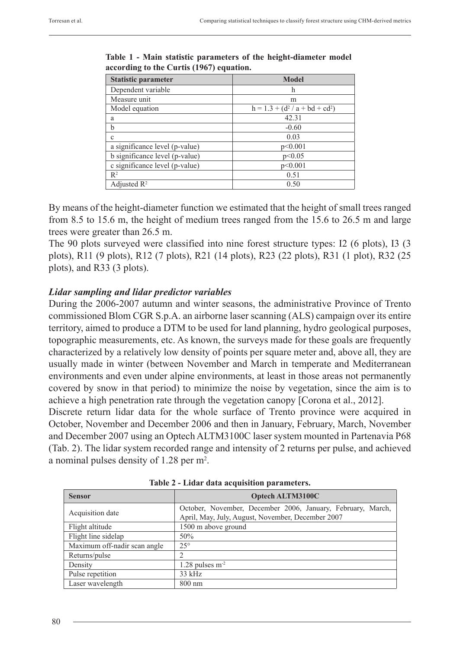| <b>Statistic parameter</b>     | <b>Model</b>                    |
|--------------------------------|---------------------------------|
| Dependent variable             | h                               |
| Measure unit                   | m                               |
| Model equation                 | $h = 1.3 + (d^2/a + bd + cd^2)$ |
| a                              | 42.31                           |
| h                              | $-0.60$                         |
| c                              | 0.03                            |
| a significance level (p-value) | p<0.001                         |
| b significance level (p-value) | p<0.05                          |
| c significance level (p-value) | p<0.001                         |
| R <sup>2</sup>                 | 0.51                            |
| Adjusted $\mathbb{R}^2$        | 0.50                            |

**Table 1 - Main statistic parameters of the height-diameter model according to the Curtis (1967) equation.**

By means of the height-diameter function we estimated that the height of small trees ranged from 8.5 to 15.6 m, the height of medium trees ranged from the 15.6 to 26.5 m and large trees were greater than 26.5 m.

The 90 plots surveyed were classified into nine forest structure types: I2 (6 plots), I3 (3 plots), R11 (9 plots), R12 (7 plots), R21 (14 plots), R23 (22 plots), R31 (1 plot), R32 (25 plots), and R33 (3 plots).

## *Lidar sampling and lidar predictor variables*

During the 2006-2007 autumn and winter seasons, the administrative Province of Trento commissioned Blom CGR S.p.A. an airborne laser scanning (ALS) campaign over its entire territory, aimed to produce a DTM to be used for land planning, hydro geological purposes, topographic measurements, etc. As known, the surveys made for these goals are frequently characterized by a relatively low density of points per square meter and, above all, they are usually made in winter (between November and March in temperate and Mediterranean environments and even under alpine environments, at least in those areas not permanently covered by snow in that period) to minimize the noise by vegetation, since the aim is to achieve a high penetration rate through the vegetation canopy [Corona et al., 2012].

Discrete return lidar data for the whole surface of Trento province were acquired in October, November and December 2006 and then in January, February, March, November and December 2007 using an Optech ALTM3100C laser system mounted in Partenavia P68 (Tab. 2). The lidar system recorded range and intensity of 2 returns per pulse, and achieved a nominal pulses density of 1.28 per m2 .

| <b>Sensor</b>                | Optech ALTM3100C                                            |
|------------------------------|-------------------------------------------------------------|
| Acquisition date             | October, November, December 2006, January, February, March, |
|                              | April, May, July, August, November, December 2007           |
| Flight altitude              | 1500 m above ground                                         |
| Flight line sidelap          | 50%                                                         |
| Maximum off-nadir scan angle | $25^{\circ}$                                                |
| Returns/pulse                | 2                                                           |
| Density                      | $1.28$ pulses m <sup>-2</sup>                               |
| Pulse repetition             | 33 kHz                                                      |
| Laser wavelength             | $800 \text{ nm}$                                            |

**Table 2 - Lidar data acquisition parameters.**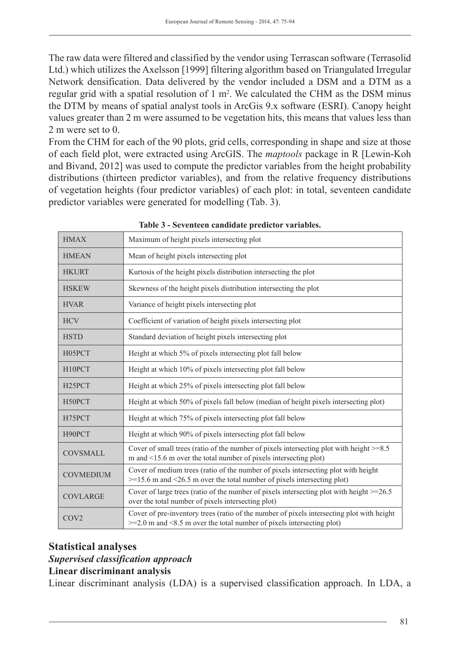The raw data were filtered and classified by the vendor using Terrascan software (Terrasolid Ltd.) which utilizes the Axelsson [1999] filtering algorithm based on Triangulated Irregular Network densification. Data delivered by the vendor included a DSM and a DTM as a regular grid with a spatial resolution of  $1 \text{ m}^2$ . We calculated the CHM as the DSM minus the DTM by means of spatial analyst tools in ArcGis 9.x software (ESRI). Canopy height values greater than 2 m were assumed to be vegetation hits, this means that values less than 2 m were set to 0.

From the CHM for each of the 90 plots, grid cells, corresponding in shape and size at those of each field plot, were extracted using ArcGIS. The *maptools* package in R [Lewin-Koh and Bivand, 2012] was used to compute the predictor variables from the height probability distributions (thirteen predictor variables), and from the relative frequency distributions of vegetation heights (four predictor variables) of each plot: in total, seventeen candidate predictor variables were generated for modelling (Tab. 3).

| <b>HMAX</b>         | Maximum of height pixels intersecting plot                                                                                                                                 |
|---------------------|----------------------------------------------------------------------------------------------------------------------------------------------------------------------------|
| <b>HMEAN</b>        | Mean of height pixels intersecting plot                                                                                                                                    |
| <b>HKURT</b>        | Kurtosis of the height pixels distribution intersecting the plot                                                                                                           |
| <b>HSKEW</b>        | Skewness of the height pixels distribution intersecting the plot                                                                                                           |
| <b>HVAR</b>         | Variance of height pixels intersecting plot                                                                                                                                |
| <b>HCV</b>          | Coefficient of variation of height pixels intersecting plot                                                                                                                |
| <b>HSTD</b>         | Standard deviation of height pixels intersecting plot                                                                                                                      |
| H05PCT              | Height at which 5% of pixels intersecting plot fall below                                                                                                                  |
| H <sub>10</sub> PCT | Height at which 10% of pixels intersecting plot fall below                                                                                                                 |
| H <sub>25</sub> PCT | Height at which 25% of pixels intersecting plot fall below                                                                                                                 |
| H <sub>50</sub> PCT | Height at which 50% of pixels fall below (median of height pixels intersecting plot)                                                                                       |
| H75PCT              | Height at which 75% of pixels intersecting plot fall below                                                                                                                 |
| H90PCT              | Height at which 90% of pixels intersecting plot fall below                                                                                                                 |
| <b>COVSMALL</b>     | Cover of small trees (ratio of the number of pixels intersecting plot with height $>= 8.5$<br>$m$ and $\leq 15.6$ m over the total number of pixels intersecting plot)     |
| <b>COVMEDIUM</b>    | Cover of medium trees (ratio of the number of pixels intersecting plot with height<br>$>=15.6$ m and $<26.5$ m over the total number of pixels intersecting plot)          |
| <b>COVLARGE</b>     | Cover of large trees (ratio of the number of pixels intersecting plot with height $\geq 26.5$ )<br>over the total number of pixels intersecting plot)                      |
| COV2                | Cover of pre-inventory trees (ratio of the number of pixels intersecting plot with height<br>$>=$ 2.0 m and $\le$ 8.5 m over the total number of pixels intersecting plot) |

**Table 3 - Seventeen candidate predictor variables.**

#### **Statistical analyses**

#### *Supervised classification approach*

#### **Linear discriminant analysis**

Linear discriminant analysis (LDA) is a supervised classification approach. In LDA, a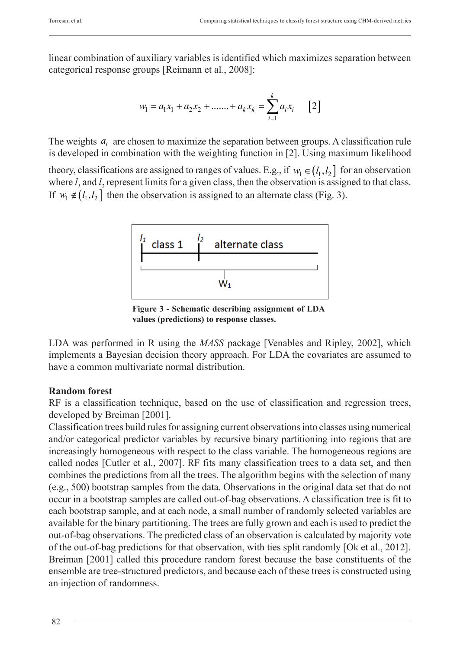linear combination of auxiliary variables is identified which maximizes separation between categorical response groups [Reimann et al*.*, 2008]:

$$
w_1 = a_1 x_1 + a_2 x_2 + \dots + a_k x_k = \sum_{i=1}^k a_i x_i \quad [2]
$$

The weights *ai* are chosen to maximize the separation between groups. A classification rule is developed in combination with the weighting function in [2]. Using maximum likelihood

theory, classifications are assigned to ranges of values. E.g., if  $w_1 \in (l_1, l_2]$  for an observation where  $l_1$  and  $l_2$  represent limits for a given class, then the observation is assigned to that class. If  $w_1 \notin (l_1, l_2]$  then the observation is assigned to an alternate class (Fig. 3).



**Figure 3 - Schematic describing assignment of LDA values (predictions) to response classes.**

LDA was performed in R using the *MASS* package [Venables and Ripley, 2002], which implements a Bayesian decision theory approach. For LDA the covariates are assumed to have a common multivariate normal distribution.

#### **Random forest**

RF is a classification technique, based on the use of classification and regression trees, developed by Breiman [2001].

Classification trees build rules for assigning current observations into classes using numerical and/or categorical predictor variables by recursive binary partitioning into regions that are increasingly homogeneous with respect to the class variable. The homogeneous regions are called nodes [Cutler et al., 2007]. RF fits many classification trees to a data set, and then combines the predictions from all the trees. The algorithm begins with the selection of many (e.g., 500) bootstrap samples from the data. Observations in the original data set that do not occur in a bootstrap samples are called out-of-bag observations. A classification tree is fit to each bootstrap sample, and at each node, a small number of randomly selected variables are available for the binary partitioning. The trees are fully grown and each is used to predict the out-of-bag observations. The predicted class of an observation is calculated by majority vote of the out-of-bag predictions for that observation, with ties split randomly [Ok et al., 2012]. Breiman [2001] called this procedure random forest because the base constituents of the ensemble are tree-structured predictors, and because each of these trees is constructed using an injection of randomness.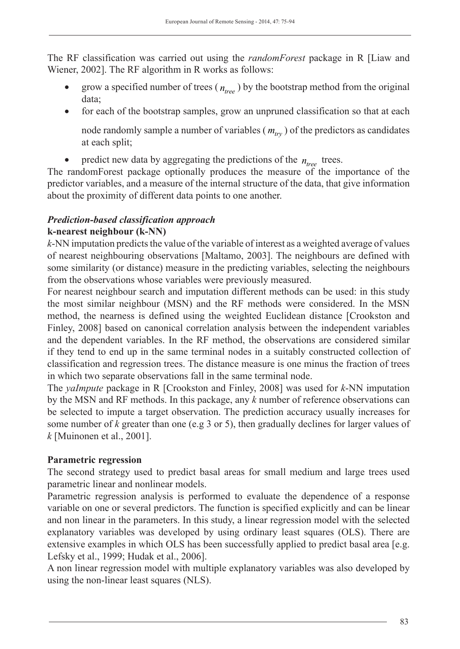The RF classification was carried out using the *randomForest* package in R [Liaw and Wiener, 2002]. The RF algorithm in R works as follows:

- grow a specified number of trees ( $n_{tree}$ ) by the bootstrap method from the original data;
- for each of the bootstrap samples, grow an unpruned classification so that at each

node randomly sample a number of variables  $(m_{\mu\nu})$  of the predictors as candidates at each split;

• predict new data by aggregating the predictions of the  $n_{tree}$  trees.

The randomForest package optionally produces the measure of the importance of the predictor variables, and a measure of the internal structure of the data, that give information about the proximity of different data points to one another.

## *Prediction-based classification approach*

## **k-nearest neighbour (k-NN)**

*k*-NN imputation predicts the value of the variable of interest as a weighted average of values of nearest neighbouring observations [Maltamo, 2003]. The neighbours are defined with some similarity (or distance) measure in the predicting variables, selecting the neighbours from the observations whose variables were previously measured.

For nearest neighbour search and imputation different methods can be used: in this study the most similar neighbour (MSN) and the RF methods were considered. In the MSN method, the nearness is defined using the weighted Euclidean distance [Crookston and Finley, 2008] based on canonical correlation analysis between the independent variables and the dependent variables. In the RF method, the observations are considered similar if they tend to end up in the same terminal nodes in a suitably constructed collection of classification and regression trees. The distance measure is one minus the fraction of trees in which two separate observations fall in the same terminal node.

The *yaImpute* package in R [Crookston and Finley, 2008] was used for *k*-NN imputation by the MSN and RF methods. In this package, any *k* number of reference observations can be selected to impute a target observation. The prediction accuracy usually increases for some number of *k* greater than one (e.g 3 or 5), then gradually declines for larger values of *k* [Muinonen et al., 2001].

## **Parametric regression**

The second strategy used to predict basal areas for small medium and large trees used parametric linear and nonlinear models.

Parametric regression analysis is performed to evaluate the dependence of a response variable on one or several predictors. The function is specified explicitly and can be linear and non linear in the parameters. In this study, a linear regression model with the selected explanatory variables was developed by using ordinary least squares (OLS). There are extensive examples in which OLS has been successfully applied to predict basal area [e.g. Lefsky et al., 1999; Hudak et al., 2006].

A non linear regression model with multiple explanatory variables was also developed by using the non-linear least squares (NLS).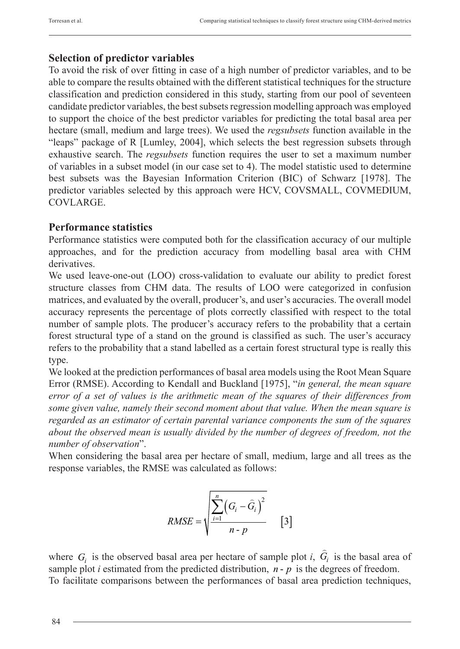## **Selection of predictor variables**

To avoid the risk of over fitting in case of a high number of predictor variables, and to be able to compare the results obtained with the different statistical techniques for the structure classification and prediction considered in this study, starting from our pool of seventeen candidate predictor variables, the best subsets regression modelling approach was employed to support the choice of the best predictor variables for predicting the total basal area per hectare (small, medium and large trees). We used the *regsubsets* function available in the "leaps" package of R [Lumley, 2004], which selects the best regression subsets through exhaustive search. The *regsubsets* function requires the user to set a maximum number of variables in a subset model (in our case set to 4). The model statistic used to determine best subsets was the Bayesian Information Criterion (BIC) of Schwarz [1978]. The predictor variables selected by this approach were HCV, COVSMALL, COVMEDIUM, COVLARGE.

## **Performance statistics**

Performance statistics were computed both for the classification accuracy of our multiple approaches, and for the prediction accuracy from modelling basal area with CHM derivatives.

We used leave-one-out (LOO) cross-validation to evaluate our ability to predict forest structure classes from CHM data. The results of LOO were categorized in confusion matrices, and evaluated by the overall, producer's, and user's accuracies. The overall model accuracy represents the percentage of plots correctly classified with respect to the total number of sample plots. The producer's accuracy refers to the probability that a certain forest structural type of a stand on the ground is classified as such. The user's accuracy refers to the probability that a stand labelled as a certain forest structural type is really this type.

We looked at the prediction performances of basal area models using the Root Mean Square Error (RMSE). According to Kendall and Buckland [1975], "*in general, the mean square error of a set of values is the arithmetic mean of the squares of their differences from some given value, namely their second moment about that value. When the mean square is regarded as an estimator of certain parental variance components the sum of the squares about the observed mean is usually divided by the number of degrees of freedom, not the number of observation*".

When considering the basal area per hectare of small, medium, large and all trees as the response variables, the RMSE was calculated as follows:

$$
RMSE = \sqrt{\frac{\sum_{i=1}^{n} (G_i - \widehat{G}_i)^2}{n - p}}
$$
 [3]

where  $G_i$  is the observed basal area per hectare of sample plot *i*,  $\hat{G}_i$  is the basal area of sample plot *i* estimated from the predicted distribution,  $n - p$  is the degrees of freedom. To facilitate comparisons between the performances of basal area prediction techniques,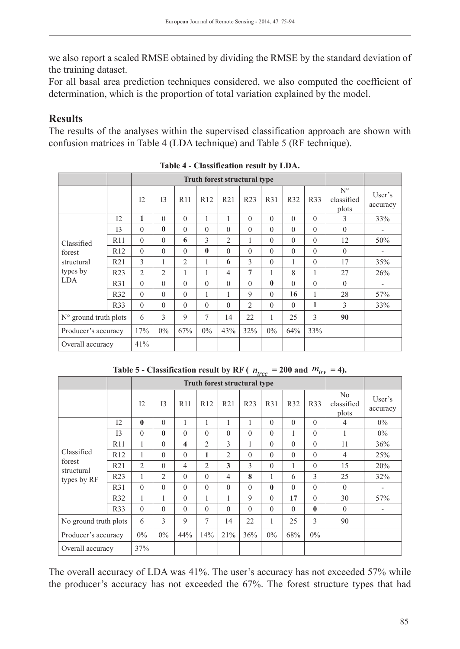we also report a scaled RMSE obtained by dividing the RMSE by the standard deviation of the training dataset.

For all basal area prediction techniques considered, we also computed the coefficient of determination, which is the proportion of total variation explained by the model.

## **Results**

The results of the analyses within the supervised classification approach are shown with confusion matrices in Table 4 (LDA technique) and Table 5 (RF technique).

|                                |                 |          |                | <b>Truth forest structural type</b> |                 |                |                 |              |                  |          |                                    |                    |
|--------------------------------|-----------------|----------|----------------|-------------------------------------|-----------------|----------------|-----------------|--------------|------------------|----------|------------------------------------|--------------------|
|                                |                 | 12       | I <sub>3</sub> | R11                                 | R <sub>12</sub> | R21            | R <sub>23</sub> | R31          | R32              | R33      | $N^{\circ}$<br>classified<br>plots | User's<br>accuracy |
|                                | I2              | 1        | $\Omega$       | $\theta$                            | 1               | 1              | $\Omega$        | $\theta$     | $\theta$         | $\theta$ | 3                                  | 33%                |
|                                | I <sub>3</sub>  | $\theta$ | $\bf{0}$       | $\theta$                            | $\Omega$        | $\theta$       | $\theta$        | $\theta$     | $\theta$         | $\theta$ | $\Omega$                           |                    |
| Classified                     | R11             | $\theta$ | $\Omega$       | 6                                   | 3               | $\overline{c}$ | 1               | $\theta$     | $\theta$         | $\theta$ | 12                                 | 50%                |
| forest                         | R <sub>12</sub> | $\theta$ | $\Omega$       | $\theta$                            | $\bf{0}$        | $\theta$       | $\theta$        | $\theta$     | $\theta$         | $\theta$ | $\mathbf{0}$                       |                    |
| structural                     | R21             | 3        | 1              | $\overline{2}$                      | 1               | 6              | 3               | $\theta$     | 1                | $\theta$ | 17                                 | 35%                |
| types by                       | R <sub>23</sub> | 2        | $\overline{2}$ | 1                                   | 1               | $\overline{4}$ | $\overline{7}$  | $\mathbf{1}$ | $\boldsymbol{8}$ | 1        | 27                                 | 26%                |
| <b>LDA</b>                     | R31             | $\Omega$ | $\Omega$       | $\theta$                            | $\Omega$        | $\Omega$       | $\Omega$        | $\mathbf{0}$ | $\Omega$         | $\theta$ | $\Omega$                           |                    |
|                                | R32             | $\Omega$ | $\Omega$       | $\theta$                            | 1               | 1              | 9               | $\theta$     | 16               | 1        | 28                                 | 57%                |
|                                | R33             | $\theta$ | $\theta$       | $\theta$                            | $\mathbf{0}$    | $\theta$       | 2               | $\theta$     | $\theta$         | 1        | 3                                  | 33%                |
| $N^{\circ}$ ground truth plots |                 | 6        | 3              | 9                                   | 7               | 14             | 22              | $\mathbf{1}$ | 25               | 3        | 90                                 |                    |
| Producer's accuracy            | 17%             | $0\%$    | 67%            | 0%                                  | 43%             | 32%            | $0\%$           | 64%          | 33%              |          |                                    |                    |
| 41%<br>Overall accuracy        |                 |          |                |                                     |                 |                |                 |              |                  |          |                                    |                    |

**Table 4 - Classification result by LDA.**

| Table 5 - Classification result by RF ( $n_{tree}$ = 200 and $m_{try}$ = 4). |  |  |
|------------------------------------------------------------------------------|--|--|
|                                                                              |  |  |

|                            |                 |                |                | Truth forest structural type |                 |                |                 |              |          |              |                                       |                    |
|----------------------------|-----------------|----------------|----------------|------------------------------|-----------------|----------------|-----------------|--------------|----------|--------------|---------------------------------------|--------------------|
|                            |                 | I2             | 13             | R11                          | R <sub>12</sub> | R21            | R <sub>23</sub> | R31          | R32      | R33          | N <sub>o</sub><br>classified<br>plots | User's<br>accuracy |
|                            | I2              | $\bf{0}$       | $\Omega$       | 1                            | 1               |                | 1               | $\theta$     | $\theta$ | $\theta$     | 4                                     | $0\%$              |
|                            | I <sub>3</sub>  | $\theta$       | $\bf{0}$       | $\theta$                     | $\Omega$        | $\theta$       | $\theta$        | $\theta$     | 1        | $\theta$     | 1                                     | $0\%$              |
|                            | R11             | 1              | $\theta$       | $\overline{\mathbf{4}}$      | $\overline{2}$  | 3              | 1               | $\theta$     | $\theta$ | $\theta$     | 11                                    | 36%                |
| Classified                 | R <sub>12</sub> | 1              | $\Omega$       | $\mathbf{0}$                 | 1               | $\overline{c}$ | $\theta$        | $\mathbf{0}$ | $\Omega$ | $\theta$     | $\overline{4}$                        | 25%                |
| forest<br>structural       | R21             | $\overline{2}$ | $\theta$       | $\overline{4}$               | $\overline{2}$  | 3              | 3               | $\theta$     | 1        | $\theta$     | 15                                    | 20%                |
| types by RF                | R <sub>23</sub> | 1              | $\overline{2}$ | $\theta$                     | $\Omega$        | $\overline{4}$ | 8               | 1            | 6        | 3            | 25                                    | 32%                |
|                            | R31             | $\theta$       | $\theta$       | $\theta$                     | $\Omega$        | $\theta$       | $\Omega$        | $\bf{0}$     | $\theta$ | $\theta$     | $\Omega$                              | ۰                  |
|                            | R32             | 1              | 1              | $\theta$                     | 1               | 1              | 9               | $\theta$     | 17       | $\theta$     | 30                                    | 57%                |
|                            | R33             | $\theta$       | $\theta$       | $\theta$                     | $\Omega$        | $\theta$       | $\Omega$        | $\theta$     | $\theta$ | $\mathbf{0}$ | $\Omega$                              | ۰                  |
| No ground truth plots<br>6 |                 |                | 3              | 9                            | 7               | 14             | 22              | 1            | 25       | 3            | 90                                    |                    |
| Producer's accuracy        |                 | $0\%$          | $0\%$          | 44%                          | 14%             | 21%            | 36%             | $0\%$        | 68%      | $0\%$        |                                       |                    |
| Overall accuracy           |                 | 37%            |                |                              |                 |                |                 |              |          |              |                                       |                    |

The overall accuracy of LDA was 41%. The user's accuracy has not exceeded 57% while the producer's accuracy has not exceeded the 67%. The forest structure types that had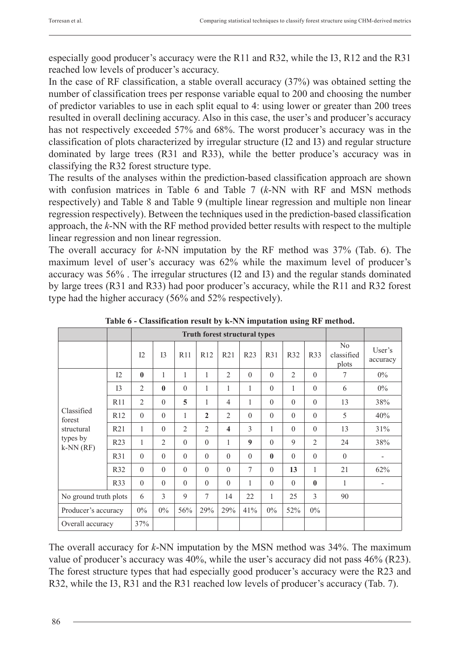especially good producer's accuracy were the R11 and R32, while the I3, R12 and the R31 reached low levels of producer's accuracy.

In the case of RF classification, a stable overall accuracy (37%) was obtained setting the number of classification trees per response variable equal to 200 and choosing the number of predictor variables to use in each split equal to 4: using lower or greater than 200 trees resulted in overall declining accuracy. Also in this case, the user's and producer's accuracy has not respectively exceeded 57% and 68%. The worst producer's accuracy was in the classification of plots characterized by irregular structure (I2 and I3) and regular structure dominated by large trees (R31 and R33), while the better produce's accuracy was in classifying the R32 forest structure type.

The results of the analyses within the prediction-based classification approach are shown with confusion matrices in Table 6 and Table 7 (*k*-NN with RF and MSN methods respectively) and Table 8 and Table 9 (multiple linear regression and multiple non linear regression respectively). Between the techniques used in the prediction-based classification approach, the *k*-NN with the RF method provided better results with respect to the multiple linear regression and non linear regression.

The overall accuracy for *k*-NN imputation by the RF method was 37% (Tab. 6). The maximum level of user's accuracy was 62% while the maximum level of producer's accuracy was 56% . The irregular structures (I2 and I3) and the regular stands dominated by large trees (R31 and R33) had poor producer's accuracy, while the R11 and R32 forest type had the higher accuracy (56% and 52% respectively).

|                            |                 | 12             | I <sub>3</sub> | R11            | R <sub>12</sub> | R21                     | R <sub>23</sub> | R31          | R32            | R33            | N <sub>o</sub><br>classified<br>plots | User's<br>accuracy |
|----------------------------|-----------------|----------------|----------------|----------------|-----------------|-------------------------|-----------------|--------------|----------------|----------------|---------------------------------------|--------------------|
|                            | I2              | $\mathbf{0}$   | 1              | 1              | 1               | $\overline{c}$          | $\theta$        | $\theta$     | $\overline{2}$ | $\theta$       | 7                                     | $0\%$              |
|                            | I <sub>3</sub>  | 2              | $\bf{0}$       | $\theta$       | 1               | 1                       | 1               | $\theta$     | $\mathbf{1}$   | $\theta$       | 6                                     | $0\%$              |
|                            | R11             | $\overline{2}$ | $\theta$       | 5              | 1               | $\overline{4}$          | 1               | $\theta$     | $\theta$       | $\theta$       | 13                                    | 38%                |
| Classified<br>forest       | R <sub>12</sub> | $\theta$       | $\Omega$       | 1              | $\overline{2}$  | $\overline{c}$          | $\theta$        | $\theta$     | $\theta$       | $\theta$       | 5                                     | 40%                |
| structural                 | R21             | 1              | $\theta$       | $\overline{2}$ | $\overline{2}$  | $\overline{\mathbf{4}}$ | 3               | 1            | $\theta$       | $\theta$       | 13                                    | 31%                |
| types by<br>$k-NN$ (RF)    | R <sub>23</sub> | 1              | $\overline{2}$ | $\theta$       | $\theta$        | 1                       | 9               | $\theta$     | 9              | $\overline{c}$ | 24                                    | 38%                |
|                            | R31             | $\theta$       | $\Omega$       | $\theta$       | $\Omega$        | $\theta$                | $\theta$        | $\mathbf{0}$ | $\Omega$       | $\theta$       | $\mathbf{0}$                          | ٠                  |
|                            | R32             | $\theta$       | $\Omega$       | $\theta$       | $\theta$        | $\theta$                | 7               | $\theta$     | 13             | $\mathbf{1}$   | 21                                    | 62%                |
|                            | R33             | $\theta$       | $\Omega$       | $\theta$       | $\theta$        | $\theta$                | 1               | $\theta$     | $\theta$       | $\mathbf{0}$   | 1                                     |                    |
| No ground truth plots<br>6 |                 |                | 3              | 9              | 7               | 14                      | 22              | $\mathbf{1}$ | 25             | 3              | 90                                    |                    |
| Producer's accuracy        |                 | $0\%$          | $0\%$          | 56%            | 29%             | 29%                     | 41%             | $0\%$        | 52%            | $0\%$          |                                       |                    |
| 37%<br>Overall accuracy    |                 |                |                |                |                 |                         |                 |              |                |                |                                       |                    |

**Table 6 - Classification result by k-NN imputation using RF method.**

The overall accuracy for *k*-NN imputation by the MSN method was 34%. The maximum value of producer's accuracy was 40%, while the user's accuracy did not pass 46% (R23). The forest structure types that had especially good producer's accuracy were the R23 and R32, while the I3, R31 and the R31 reached low levels of producer's accuracy (Tab. 7).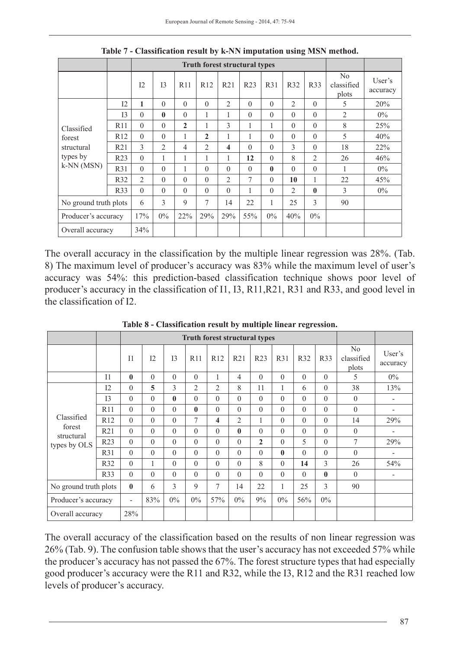|                         |                 |          |                | <b>Truth forest structural types</b> |                 |                         |                 |              |                |                |                                       |                    |
|-------------------------|-----------------|----------|----------------|--------------------------------------|-----------------|-------------------------|-----------------|--------------|----------------|----------------|---------------------------------------|--------------------|
|                         |                 | I2       | I <sub>3</sub> | <b>R11</b>                           | R <sub>12</sub> | R21                     | R <sub>23</sub> | R31          | R32            | R33            | N <sub>o</sub><br>classified<br>plots | User's<br>accuracy |
|                         | I2              | 1        | $\theta$       | $\theta$                             | $\theta$        | $\overline{c}$          | $\theta$        | $\theta$     | $\overline{2}$ | $\theta$       | 5                                     | 20%                |
|                         | I <sub>3</sub>  | $\theta$ | $\bf{0}$       | $\theta$                             | 1               | 1                       | $\theta$        | $\theta$     | $\theta$       | $\theta$       | $\overline{2}$                        | $0\%$              |
| Classified              | R <sub>11</sub> | $\Omega$ | $\Omega$       | $\mathbf{2}$                         | $\mathbf{1}$    | 3                       | 1               | $\mathbf{1}$ | $\Omega$       | $\Omega$       | 8                                     | 25%                |
| forest                  | R <sub>12</sub> | $\theta$ | $\theta$       | 1                                    | $\overline{2}$  | 1                       | 1               | $\theta$     | $\theta$       | $\theta$       | 5                                     | 40%                |
| structural              | R <sub>21</sub> | 3        | $\overline{2}$ | $\overline{4}$                       | 2               | $\overline{\mathbf{4}}$ | $\Omega$        | $\theta$     | 3              | $\theta$       | 18                                    | 22%                |
| types by                | R <sub>23</sub> | $\Omega$ | 1              | 1                                    | $\mathbf{1}$    | 1                       | 12              | $\theta$     | 8              | $\overline{c}$ | 26                                    | 46%                |
| $k-NN$ (MSN)            | R31             | $\Omega$ | $\Omega$       | $\mathbf{1}$                         | $\Omega$        | $\Omega$                | $\Omega$        | $\mathbf{0}$ | $\Omega$       | $\theta$       | 1                                     | $0\%$              |
|                         | R32             | 2        | $\theta$       | $\theta$                             | $\theta$        | $\overline{c}$          | 7               | $\theta$     | 10             | 1              | 22                                    | 45%                |
|                         | R33             | $\theta$ | $\theta$       | $\theta$                             | $\theta$        | $\theta$                | 1               | $\theta$     | $\overline{2}$ | $\mathbf{0}$   | 3                                     | $0\%$              |
| No ground truth plots   | 6               | 3        | 9              | 7                                    | 14              | 22                      | $\mathbf{1}$    | 25           | 3              | 90             |                                       |                    |
| Producer's accuracy     | 17%             | $0\%$    | 22%            | 29%                                  | 29%             | 55%                     | $0\%$           | 40%          | $0\%$          |                |                                       |                    |
| 34%<br>Overall accuracy |                 |          |                |                                      |                 |                         |                 |              |                |                |                                       |                    |

**Table 7 - Classification result by k-NN imputation using MSN method.**

The overall accuracy in the classification by the multiple linear regression was 28%. (Tab. 8) The maximum level of producer's accuracy was 83% while the maximum level of user's accuracy was 54%: this prediction-based classification technique shows poor level of producer's accuracy in the classification of I1, I3, R11,R21, R31 and R33, and good level in the classification of I2.

|                       |                 |              |          |                |          | <b>Truth forest structural types</b> |                |                 |          |          |          |                                       |                    |
|-----------------------|-----------------|--------------|----------|----------------|----------|--------------------------------------|----------------|-----------------|----------|----------|----------|---------------------------------------|--------------------|
|                       |                 | $_{11}$      | I2       | I <sub>3</sub> | R11      | R <sub>12</sub>                      | R21            | R <sub>23</sub> | R31      | R32      | R33      | N <sub>o</sub><br>classified<br>plots | User's<br>accuracy |
|                       | $_{11}$         | $\mathbf{0}$ | $\theta$ | $\theta$       | $\theta$ | 1                                    | $\overline{4}$ | $\Omega$        | $\theta$ | $\theta$ | $\Omega$ | 5                                     | $0\%$              |
|                       | I2              | $\Omega$     | 5        | 3              | 2        | $\overline{2}$                       | 8              | 11              | 1        | 6        | $\Omega$ | 38                                    | 13%                |
|                       | I <sub>3</sub>  | $\theta$     | $\Omega$ | $\mathbf{0}$   | $\theta$ | $\Omega$                             | $\Omega$       | $\theta$        | $\theta$ | $\theta$ | $\Omega$ | $\Omega$                              |                    |
|                       | R <sub>11</sub> | $\Omega$     | $\Omega$ | $\theta$       | $\bf{0}$ | $\Omega$                             | $\Omega$       | $\mathbf{0}$    | $\theta$ | $\theta$ | $\Omega$ | $\Omega$                              |                    |
| Classified            | R <sub>12</sub> | $\Omega$     | $\Omega$ | $\theta$       | 7        | 4                                    | $\overline{2}$ | 1               | $\theta$ | $\theta$ | $\Omega$ | 14                                    | 29%                |
| forest<br>structural  | R21             | $\Omega$     | $\Omega$ | $\theta$       | $\theta$ | $\Omega$                             | $\bf{0}$       | $\theta$        | $\theta$ | $\theta$ | $\Omega$ | $\Omega$                              |                    |
| types by OLS          | R23             | $\Omega$     | $\theta$ | $\theta$       | $\theta$ | $\Omega$                             | $\theta$       | $\overline{2}$  | $\theta$ | 5        | $\Omega$ | $\overline{7}$                        | 29%                |
|                       | R31             | $\Omega$     | $\Omega$ | $\theta$       | $\theta$ | $\Omega$                             | $\Omega$       | $\theta$        | $\bf{0}$ | $\theta$ | $\Omega$ | $\Omega$                              |                    |
|                       | R32             | $\Omega$     | 1        | $\Omega$       | $\theta$ | $\Omega$                             | $\Omega$       | 8               | $\theta$ | 14       | 3        | 26                                    | 54%                |
|                       | R33             | $\Omega$     | $\Omega$ | $\theta$       | $\theta$ | $\Omega$                             | $\theta$       | $\theta$        | $\theta$ | $\theta$ | $\bf{0}$ | $\Omega$                              |                    |
| No ground truth plots |                 | $\mathbf{0}$ | 6        | 3              | 9        | 7                                    | 14             | 22              | 1        | 25       | 3        | 90                                    |                    |
| Producer's accuracy   |                 | ۰            | 83%      | $0\%$          | $0\%$    | 57%                                  | $0\%$          | 9%              | $0\%$    | 56%      | $0\%$    |                                       |                    |
| Overall accuracy      |                 | 28%          |          |                |          |                                      |                |                 |          |          |          |                                       |                    |

**Table 8 - Classification result by multiple linear regression.**

The overall accuracy of the classification based on the results of non linear regression was 26% (Tab. 9). The confusion table shows that the user's accuracy has not exceeded 57% while the producer's accuracy has not passed the 67%. The forest structure types that had especially good producer's accuracy were the R11 and R32, while the I3, R12 and the R31 reached low levels of producer's accuracy.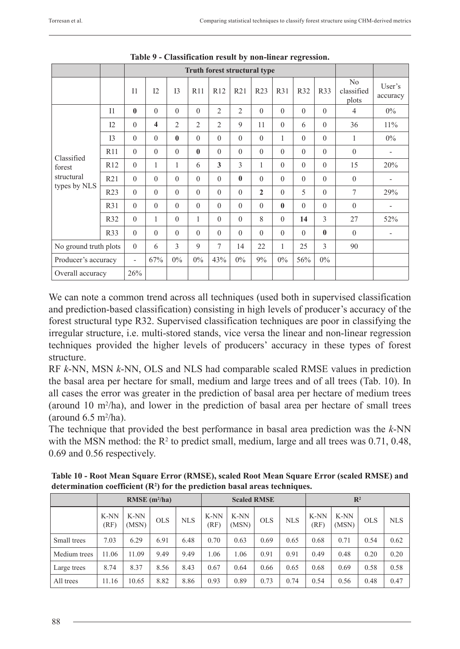|                       | $\alpha$ and $\alpha$ and $\alpha$ and $\alpha$ and $\alpha$ and $\alpha$ and $\alpha$ and $\alpha$ and $\alpha$ and $\alpha$ and $\alpha$ and $\alpha$ and $\alpha$ and $\alpha$ and $\alpha$ and $\alpha$ and $\alpha$ and $\alpha$ and $\alpha$ and $\alpha$ and $\alpha$ and $\alpha$ and $\alpha$ and $\alpha$ and $\alpha$ |                |                         |                |                 |                |                |                |              |          |              |                                       |                    |
|-----------------------|----------------------------------------------------------------------------------------------------------------------------------------------------------------------------------------------------------------------------------------------------------------------------------------------------------------------------------|----------------|-------------------------|----------------|-----------------|----------------|----------------|----------------|--------------|----------|--------------|---------------------------------------|--------------------|
|                       |                                                                                                                                                                                                                                                                                                                                  |                |                         |                |                 |                |                |                |              |          |              |                                       |                    |
|                       |                                                                                                                                                                                                                                                                                                                                  | I <sub>1</sub> | I2                      | I <sub>3</sub> | R <sub>11</sub> | R12            | R21            | R23            | R31          | R32      | R33          | N <sub>o</sub><br>classified<br>plots | User's<br>accuracy |
|                       | $_{11}$                                                                                                                                                                                                                                                                                                                          | $\mathbf{0}$   | $\theta$                | $\mathbf{0}$   | $\theta$        | $\overline{2}$ | $\overline{2}$ | $\theta$       | $\mathbf{0}$ | $\theta$ | $\theta$     | $\overline{4}$                        | $0\%$              |
|                       | 12                                                                                                                                                                                                                                                                                                                               | $\theta$       | $\overline{\mathbf{4}}$ | $\overline{c}$ | $\overline{c}$  | $\overline{2}$ | 9              | 11             | $\mathbf{0}$ | 6        | $\theta$     | 36                                    | 11%                |
|                       | I <sub>3</sub>                                                                                                                                                                                                                                                                                                                   | $\theta$       | $\Omega$                | $\bf{0}$       | $\Omega$        | $\Omega$       | $\Omega$       | $\Omega$       | 1            | $\Omega$ | $\Omega$     | 1                                     | $0\%$              |
| Classified            | R11                                                                                                                                                                                                                                                                                                                              | $\theta$       | $\theta$                | $\mathbf{0}$   | $\bf{0}$        | $\theta$       | $\theta$       | $\overline{0}$ | $\theta$     | $\theta$ | $\theta$     | $\mathbf{0}$                          |                    |
| forest                | R <sub>12</sub>                                                                                                                                                                                                                                                                                                                  | $\theta$       | 1                       | 1              | 6               | 3              | 3              | 1              | $\mathbf{0}$ | $\theta$ | $\theta$     | 15                                    | 20%                |
| structural            | R21                                                                                                                                                                                                                                                                                                                              | $\theta$       | $\theta$                | $\theta$       | $\Omega$        | $\Omega$       | $\mathbf{0}$   | $\Omega$       | $\theta$     | $\Omega$ | $\Omega$     | $\theta$                              |                    |
| types by NLS          | R <sub>23</sub>                                                                                                                                                                                                                                                                                                                  | $\theta$       | $\Omega$                | $\theta$       | $\theta$        | $\theta$       | $\Omega$       | $\mathbf{2}$   | $\theta$     | 5        | $\theta$     | 7                                     | 29%                |
|                       | R31                                                                                                                                                                                                                                                                                                                              | $\theta$       | $\theta$                | $\theta$       | $\theta$        | $\theta$       | $\theta$       | $\theta$       | $\bf{0}$     | $\theta$ | $\theta$     | $\mathbf{0}$                          |                    |
|                       | R32                                                                                                                                                                                                                                                                                                                              | $\theta$       | $\mathbf{1}$            | $\theta$       | 1               | $\Omega$       | $\theta$       | 8              | $\theta$     | 14       | 3            | 27                                    | 52%                |
|                       | R33                                                                                                                                                                                                                                                                                                                              | $\theta$       | $\theta$                | $\theta$       | $\Omega$        | $\theta$       | $\theta$       | $\Omega$       | $\mathbf{0}$ | $\Omega$ | $\mathbf{0}$ | $\theta$                              |                    |
| No ground truth plots | 7<br>3<br>9<br>22<br>$\theta$<br>6<br>14<br>1                                                                                                                                                                                                                                                                                    |                |                         |                |                 |                | 25             | 3              | 90           |          |              |                                       |                    |
|                       | 67%<br>Producer's accuracy<br>÷,                                                                                                                                                                                                                                                                                                 |                |                         | $0\%$          | $0\%$           | 43%            | $0\%$          | 9%             | $0\%$        | 56%      | $0\%$        |                                       |                    |
| Overall accuracy      |                                                                                                                                                                                                                                                                                                                                  | 26%            |                         |                |                 |                |                |                |              |          |              |                                       |                    |

|  | Table 9 - Classification result by non-linear regression. |  |  |  |
|--|-----------------------------------------------------------|--|--|--|
|--|-----------------------------------------------------------|--|--|--|

We can note a common trend across all techniques (used both in supervised classification and prediction-based classification) consisting in high levels of producer's accuracy of the forest structural type R32. Supervised classification techniques are poor in classifying the irregular structure, i.e. multi-stored stands, vice versa the linear and non-linear regression techniques provided the higher levels of producers' accuracy in these types of forest structure.

RF *k*-NN, MSN *k*-NN, OLS and NLS had comparable scaled RMSE values in prediction the basal area per hectare for small, medium and large trees and of all trees (Tab. 10). In all cases the error was greater in the prediction of basal area per hectare of medium trees (around 10 m2 /ha), and lower in the prediction of basal area per hectare of small trees  $(\text{around } 6.5 \text{ m}^2/\text{ha}).$ 

The technique that provided the best performance in basal area prediction was the *k*-NN with the MSN method: the  $R^2$  to predict small, medium, large and all trees was 0.71, 0.48, 0.69 and 0.56 respectively.

|              | $RMSE(m^2/ha)$ |               |            |            | <b>Scaled RMSE</b> |               |            |            | $\mathbb{R}^2$ |               |            |            |
|--------------|----------------|---------------|------------|------------|--------------------|---------------|------------|------------|----------------|---------------|------------|------------|
|              | K-NN<br>(RF)   | K-NN<br>(MSN) | <b>OLS</b> | <b>NLS</b> | K-NN<br>(RF)       | K-NN<br>(MSN) | <b>OLS</b> | <b>NLS</b> | K-NN<br>(RF)   | K-NN<br>(MSN) | <b>OLS</b> | <b>NLS</b> |
| Small trees  | 7.03           | 6.29          | 6.91       | 6.48       | 0.70               | 0.63          | 0.69       | 0.65       | 0.68           | 0.71          | 0.54       | 0.62       |
| Medium trees | 11.06          | 11.09         | 9.49       | 9.49       | 1.06               | 1.06          | 0.91       | 0.91       | 0.49           | 0.48          | 0.20       | 0.20       |
| Large trees  | 8.74           | 8.37          | 8.56       | 8.43       | 0.67               | 0.64          | 0.66       | 0.65       | 0.68           | 0.69          | 0.58       | 0.58       |
| All trees    | 11.16          | 10.65         | 8.82       | 8.86       | 0.93               | 0.89          | 0.73       | 0.74       | 0.54           | 0.56          | 0.48       | 0.47       |

**Table 10 - Root Mean Square Error (RMSE), scaled Root Mean Square Error (scaled RMSE) and determination coefficient (R2 ) for the prediction basal areas techniques.**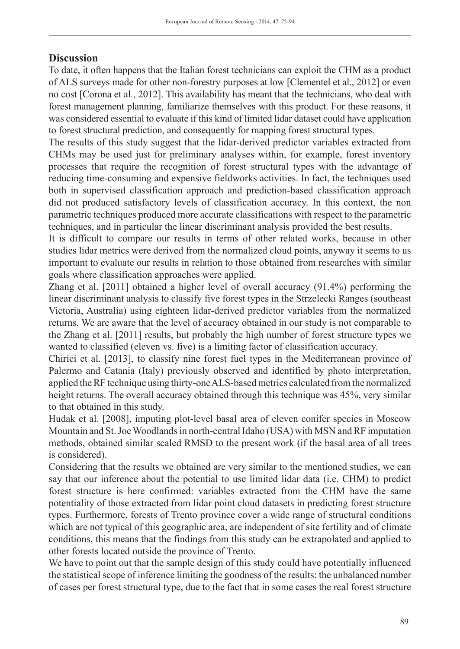## **Discussion**

To date, it often happens that the Italian forest technicians can exploit the CHM as a product of ALS surveys made for other non-forestry purposes at low [Clementel et al., 2012] or even no cost [Corona et al., 2012]. This availability has meant that the technicians, who deal with forest management planning, familiarize themselves with this product. For these reasons, it was considered essential to evaluate if this kind of limited lidar dataset could have application to forest structural prediction, and consequently for mapping forest structural types.

The results of this study suggest that the lidar-derived predictor variables extracted from CHMs may be used just for preliminary analyses within, for example, forest inventory processes that require the recognition of forest structural types with the advantage of reducing time-consuming and expensive fieldworks activities. In fact, the techniques used both in supervised classification approach and prediction-based classification approach did not produced satisfactory levels of classification accuracy. In this context, the non parametric techniques produced more accurate classifications with respect to the parametric techniques, and in particular the linear discriminant analysis provided the best results.

It is difficult to compare our results in terms of other related works, because in other studies lidar metrics were derived from the normalized cloud points, anyway it seems to us important to evaluate our results in relation to those obtained from researches with similar goals where classification approaches were applied.

Zhang et al. [2011] obtained a higher level of overall accuracy (91.4%) performing the linear discriminant analysis to classify five forest types in the Strzelecki Ranges (southeast Victoria, Australia) using eighteen lidar-derived predictor variables from the normalized returns. We are aware that the level of accuracy obtained in our study is not comparable to the Zhang et al. [2011] results, but probably the high number of forest structure types we wanted to classified (eleven vs. five) is a limiting factor of classification accuracy.

Chirici et al. [2013], to classify nine forest fuel types in the Mediterranean province of Palermo and Catania (Italy) previously observed and identified by photo interpretation, applied the RF technique using thirty-one ALS-based metrics calculated from the normalized height returns. The overall accuracy obtained through this technique was 45%, very similar to that obtained in this study.

Hudak et al. [2008], imputing plot-level basal area of eleven conifer species in Moscow Mountain and St. Joe Woodlands in north-central Idaho (USA) with MSN and RF imputation methods, obtained similar scaled RMSD to the present work (if the basal area of all trees is considered).

Considering that the results we obtained are very similar to the mentioned studies, we can say that our inference about the potential to use limited lidar data (i.e. CHM) to predict forest structure is here confirmed: variables extracted from the CHM have the same potentiality of those extracted from lidar point cloud datasets in predicting forest structure types. Furthermore, forests of Trento province cover a wide range of structural conditions which are not typical of this geographic area, are independent of site fertility and of climate conditions, this means that the findings from this study can be extrapolated and applied to other forests located outside the province of Trento.

We have to point out that the sample design of this study could have potentially influenced the statistical scope of inference limiting the goodness of the results: the unbalanced number of cases per forest structural type, due to the fact that in some cases the real forest structure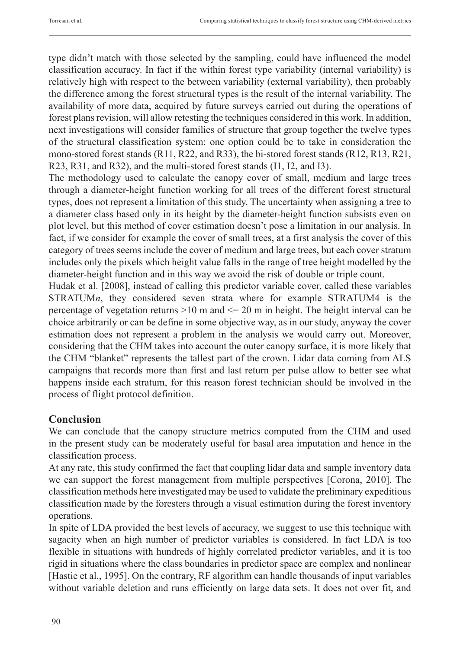type didn't match with those selected by the sampling, could have influenced the model classification accuracy. In fact if the within forest type variability (internal variability) is relatively high with respect to the between variability (external variability), then probably the difference among the forest structural types is the result of the internal variability. The availability of more data, acquired by future surveys carried out during the operations of forest plans revision, will allow retesting the techniques considered in this work. In addition, next investigations will consider families of structure that group together the twelve types of the structural classification system: one option could be to take in consideration the mono-stored forest stands (R11, R22, and R33), the bi-stored forest stands (R12, R13, R21, R23, R31, and R32), and the multi-stored forest stands (I1, I2, and I3).

The methodology used to calculate the canopy cover of small, medium and large trees through a diameter-height function working for all trees of the different forest structural types, does not represent a limitation of this study. The uncertainty when assigning a tree to a diameter class based only in its height by the diameter-height function subsists even on plot level, but this method of cover estimation doesn't pose a limitation in our analysis. In fact, if we consider for example the cover of small trees, at a first analysis the cover of this category of trees seems include the cover of medium and large trees, but each cover stratum includes only the pixels which height value falls in the range of tree height modelled by the diameter-height function and in this way we avoid the risk of double or triple count.

Hudak et al. [2008], instead of calling this predictor variable cover, called these variables STRATUM*n*, they considered seven strata where for example STRATUM4 is the percentage of vegetation returns  $>10$  m and  $\leq$  20 m in height. The height interval can be choice arbitrarily or can be define in some objective way, as in our study, anyway the cover estimation does not represent a problem in the analysis we would carry out. Moreover, considering that the CHM takes into account the outer canopy surface, it is more likely that the CHM "blanket" represents the tallest part of the crown. Lidar data coming from ALS campaigns that records more than first and last return per pulse allow to better see what happens inside each stratum, for this reason forest technician should be involved in the process of flight protocol definition.

## **Conclusion**

We can conclude that the canopy structure metrics computed from the CHM and used in the present study can be moderately useful for basal area imputation and hence in the classification process.

At any rate, this study confirmed the fact that coupling lidar data and sample inventory data we can support the forest management from multiple perspectives [Corona, 2010]. The classification methods here investigated may be used to validate the preliminary expeditious classification made by the foresters through a visual estimation during the forest inventory operations.

In spite of LDA provided the best levels of accuracy, we suggest to use this technique with sagacity when an high number of predictor variables is considered. In fact LDA is too flexible in situations with hundreds of highly correlated predictor variables, and it is too rigid in situations where the class boundaries in predictor space are complex and nonlinear [Hastie et al*.*, 1995]. On the contrary, RF algorithm can handle thousands of input variables without variable deletion and runs efficiently on large data sets. It does not over fit, and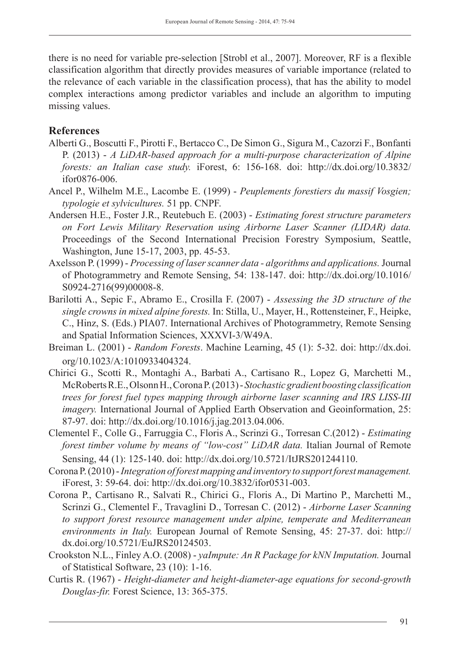there is no need for variable pre-selection [Strobl et al., 2007]. Moreover, RF is a flexible classification algorithm that directly provides measures of variable importance (related to the relevance of each variable in the classification process), that has the ability to model complex interactions among predictor variables and include an algorithm to imputing missing values.

## **References**

- Alberti G., Boscutti F., Pirotti F., Bertacco C., De Simon G., Sigura M., Cazorzi F., Bonfanti P. (2013) - *A LiDAR-based approach for a multi-purpose characterization of Alpine forests: an Italian case study.* iForest, 6: 156-168. doi: http://dx.doi.org/10.3832/ ifor0876-006.
- Ancel P., Wilhelm M.E., Lacombe E. (1999) *Peuplements forestiers du massif Vosgien; typologie et sylvicultures.* 51 pp. CNPF.
- Andersen H.E., Foster J.R., Reutebuch E. (2003) *Estimating forest structure parameters on Fort Lewis Military Reservation using Airborne Laser Scanner (LIDAR) data.* Proceedings of the Second International Precision Forestry Symposium, Seattle, Washington, June 15-17, 2003, pp. 45-53.
- Axelsson P. (1999) *Processing of laser scanner data algorithms and applications.* Journal of Photogrammetry and Remote Sensing, 54: 138-147. doi: http://dx.doi.org/10.1016/ S0924-2716(99)00008-8.
- Barilotti A., Sepic F., Abramo E., Crosilla F. (2007) *Assessing the 3D structure of the single crowns in mixed alpine forests.* In: Stilla, U., Mayer, H., Rottensteiner, F., Heipke, C., Hinz, S. (Eds.) PIA07. International Archives of Photogrammetry, Remote Sensing and Spatial Information Sciences, XXXVI-3/W49A.
- Breiman L. (2001) *Random Forests*. Machine Learning, 45 (1): 5-32. doi: http://dx.doi. org/10.1023/A:1010933404324.
- Chirici G., Scotti R., Montaghi A., Barbati A., Cartisano R., Lopez G, Marchetti M., McRoberts R.E., Olsonn H., Corona P. (2013) - *Stochastic gradient boosting classification trees for forest fuel types mapping through airborne laser scanning and IRS LISS-III imagery.* International Journal of Applied Earth Observation and Geoinformation, 25: 87-97. doi: http://dx.doi.org/10.1016/j.jag.2013.04.006.
- Clementel F., Colle G., Farruggia C., Floris A., Scrinzi G., Torresan C.(2012) *Estimating forest timber volume by means of "low-cost" LiDAR data.* Italian Journal of Remote Sensing, 44 (1): 125-140. doi: http://dx.doi.org/10.5721/ItJRS201244110.
- Corona P. (2010) *Integration of forest mapping and inventory to support forest management.* iForest, 3: 59-64. doi: http://dx.doi.org/10.3832/ifor0531-003.
- Corona P., Cartisano R., Salvati R., Chirici G., Floris A., Di Martino P., Marchetti M., Scrinzi G., Clementel F., Travaglini D., Torresan C. (2012) - *Airborne Laser Scanning to support forest resource management under alpine, temperate and Mediterranean environments in Italy.* European Journal of Remote Sensing, 45: 27-37. doi: http:// dx.doi.org/10.5721/EuJRS20124503.
- Crookston N.L., Finley A.O. (2008) *yaImpute: An R Package for kNN Imputation.* Journal of Statistical Software, 23 (10): 1-16.
- Curtis R. (1967) *Height-diameter and height-diameter-age equations for second-growth Douglas-fir.* Forest Science, 13: 365-375.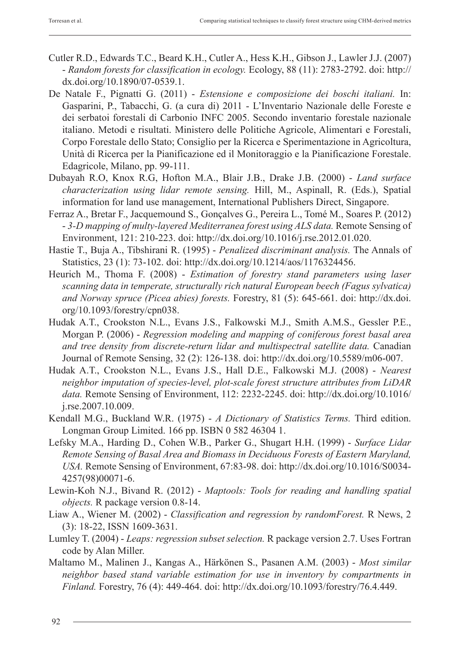- Cutler R.D., Edwards T.C., Beard K.H., Cutler A., Hess K.H., Gibson J., Lawler J.J. (2007) - *Random forests for classification in ecology.* Ecology, 88 (11): 2783-2792. doi: http:// dx.doi.org/10.1890/07-0539.1.
- De Natale F., Pignatti G. (2011) *Estensione e composizione dei boschi italiani.* In: Gasparini, P., Tabacchi, G. (a cura di) 2011 - L'Inventario Nazionale delle Foreste e dei serbatoi forestali di Carbonio INFC 2005. Secondo inventario forestale nazionale italiano. Metodi e risultati. Ministero delle Politiche Agricole, Alimentari e Forestali, Corpo Forestale dello Stato; Consiglio per la Ricerca e Sperimentazione in Agricoltura, Unità di Ricerca per la Pianificazione ed il Monitoraggio e la Pianificazione Forestale. Edagricole, Milano, pp. 99-111.
- Dubayah R.O, Knox R.G, Hofton M.A., Blair J.B., Drake J.B. (2000) *Land surface characterization using lidar remote sensing.* Hill, M., Aspinall, R. (Eds.), Spatial information for land use management, International Publishers Direct, Singapore.
- Ferraz A., Bretar F., Jacquemound S., Gonçalves G., Pereira L., Tomé M., Soares P. (2012) - *3-D mapping of multy-layered Mediterranea forest using ALS data.* Remote Sensing of Environment, 121: 210-223. doi: http://dx.doi.org/10.1016/j.rse.2012.01.020.
- Hastie T., Buja A., Tibshirani R. (1995) *Penalized discriminant analysis.* The Annals of Statistics, 23 (1): 73-102. doi: http://dx.doi.org/10.1214/aos/1176324456.
- Heurich M., Thoma F. (2008) *Estimation of forestry stand parameters using laser scanning data in temperate, structurally rich natural European beech (Fagus sylvatica) and Norway spruce (Picea abies) forests.* Forestry, 81 (5): 645-661. doi: http://dx.doi. org/10.1093/forestry/cpn038.
- Hudak A.T., Crookston N.L., Evans J.S., Falkowski M.J., Smith A.M.S., Gessler P.E., Morgan P. (2006) - *Regression modeling and mapping of coniferous forest basal area and tree density from discrete-return lidar and multispectral satellite data.* Canadian Journal of Remote Sensing, 32 (2): 126-138. doi: http://dx.doi.org/10.5589/m06-007.
- Hudak A.T., Crookston N.L., Evans J.S., Hall D.E., Falkowski M.J. (2008) *Nearest neighbor imputation of species-level, plot-scale forest structure attributes from LiDAR data.* Remote Sensing of Environment, 112: 2232-2245. doi: http://dx.doi.org/10.1016/ j.rse.2007.10.009.
- Kendall M.G., Buckland W.R. (1975) *A Dictionary of Statistics Terms.* Third edition. Longman Group Limited. 166 pp. ISBN 0 582 46304 1.
- Lefsky M.A., Harding D., Cohen W.B., Parker G., Shugart H.H. (1999) *Surface Lidar Remote Sensing of Basal Area and Biomass in Deciduous Forests of Eastern Maryland, USA.* Remote Sensing of Environment, 67:83-98. doi: http://dx.doi.org/10.1016/S0034- 4257(98)00071-6.
- Lewin-Koh N.J., Bivand R. (2012) *Maptools: Tools for reading and handling spatial objects.* R package version 0.8-14.
- Liaw A., Wiener M. (2002) *Classification and regression by randomForest.* R News, 2 (3): 18-22, ISSN 1609-3631.
- Lumley T. (2004) *Leaps: regression subset selection.* R package version 2.7. Uses Fortran code by Alan Miller.
- Maltamo M., Malinen J., Kangas A., Härkönen S., Pasanen A.M. (2003) *Most similar neighbor based stand variable estimation for use in inventory by compartments in Finland.* Forestry, 76 (4): 449-464. doi: http://dx.doi.org/10.1093/forestry/76.4.449.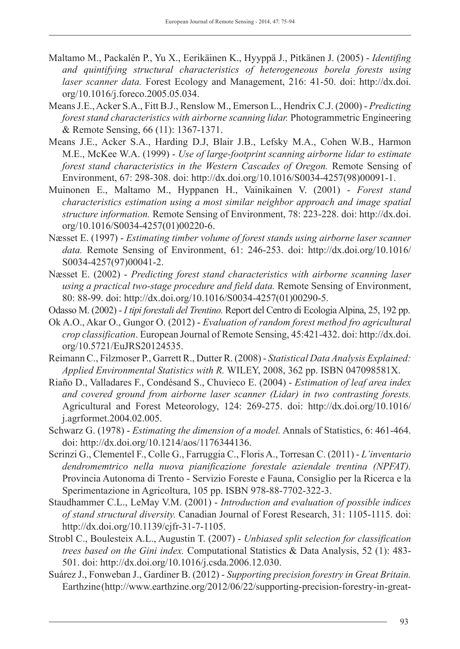- Maltamo M., Packalén P., Yu X., Eerikäinen K., Hyyppä J., Pitkänen J. (2005) *Identifing and quintifying structural characteristics of heterogeneous borela forests using laser scanner data.* Forest Ecology and Management, 216: 41-50. doi: http://dx.doi. org/10.1016/j.foreco.2005.05.034.
- Means J.E., Acker S.A., Fitt B.J., Renslow M., Emerson L., Hendrix C.J. (2000) *Predicting forest stand characteristics with airborne scanning lidar.* Photogrammetric Engineering & Remote Sensing, 66 (11): 1367-1371.
- Means J.E., Acker S.A., Harding D.J, Blair J.B., Lefsky M.A., Cohen W.B., Harmon M.E., McKee W.A. (1999) - *Use of large-footprint scanning airborne lidar to estimate forest stand characteristics in the Western Cascades of Oregon.* Remote Sensing of Environment, 67: 298-308. doi: http://dx.doi.org/10.1016/S0034-4257(98)00091-1.
- Muinonen E., Maltamo M., Hyppanen H., Vainikainen V. (2001) *Forest stand characteristics estimation using a most similar neighbor approach and image spatial structure information.* Remote Sensing of Environment, 78: 223-228. doi: http://dx.doi. org/10.1016/S0034-4257(01)00220-6.
- Næsset E. (1997) *Estimating timber volume of forest stands using airborne laser scanner data.* Remote Sensing of Environment, 61: 246-253. doi: http://dx.doi.org/10.1016/ S0034-4257(97)00041-2.
- Næsset E. (2002) *Predicting forest stand characteristics with airborne scanning laser using a practical two-stage procedure and field data.* Remote Sensing of Environment, 80: 88-99. doi: http://dx.doi.org/10.1016/S0034-4257(01)00290-5.
- Odasso M. (2002) *I tipi forestali del Trentino.* Report del Centro di Ecologia Alpina, 25, 192 pp.
- Ok A.O., Akar O., Gungor O. (2012) *Evaluation of random forest method fro agricultural crop classification*. European Journal of Remote Sensing, 45:421-432. doi: http://dx.doi. org/10.5721/EuJRS20124535.
- Reimann C., Filzmoser P., Garrett R., Dutter R. (2008) *Statistical Data Analysis Explained: Applied Environmental Statistics with R.* WILEY, 2008, 362 pp. ISBN 047098581X.
- Riaño D., Valladares F., Condésand S., Chuvieco E. (2004) *Estimation of leaf area index and covered ground from airborne laser scanner (Lidar) in two contrasting forests.* Agricultural and Forest Meteorology, 124: 269-275. doi: http://dx.doi.org/10.1016/ j.agrformet.2004.02.005.
- Schwarz G. (1978) *Estimating the dimension of a model.* Annals of Statistics, 6: 461-464. doi: http://dx.doi.org/10.1214/aos/1176344136.
- Scrinzi G., Clementel F., Colle G., Farruggia C., Floris A., Torresan C. (2011) *L'inventario dendromemtrico nella nuova pianificazione forestale aziendale trentina (NPFAT).* Provincia Autonoma di Trento - Servizio Foreste e Fauna, Consiglio per la Ricerca e la Sperimentazione in Agricoltura, 105 pp. ISBN 978-88-7702-322-3.
- Staudhammer C.L., LeMay V.M. (2001) *Introduction and evaluation of possible indices of stand structural diversity.* Canadian Journal of Forest Research, 31: 1105-1115. doi: http://dx.doi.org/10.1139/cjfr-31-7-1105.
- Strobl C., Boulesteix A.L., Augustin T. (2007) *Unbiased split selection for classification trees based on the Gini index.* Computational Statistics & Data Analysis, 52 (1): 483- 501. doi: http://dx.doi.org/10.1016/j.csda.2006.12.030.
- Suárez J., Fonweban J., Gardiner B. (2012) *Supporting precision forestry in Great Britain.* Earthzine (http://www.earthzine.org/2012/06/22/supporting-precision-forestry-in-great-